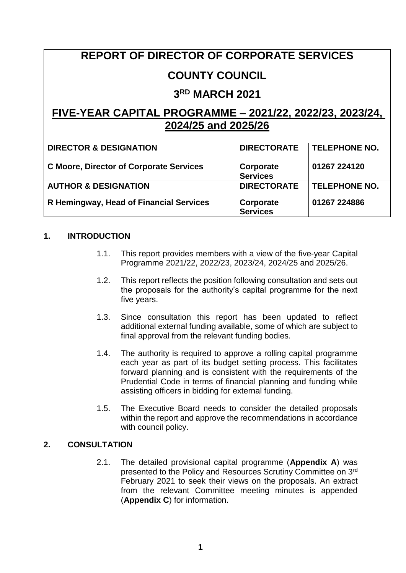# **REPORT OF DIRECTOR OF CORPORATE SERVICES**

# **COUNTY COUNCIL**

# **3 RD MARCH 2021**

# **FIVE-YEAR CAPITAL PROGRAMME – 2021/22, 2022/23, 2023/24, 2024/25 and 2025/26**

| <b>DIRECTOR &amp; DESIGNATION</b>              | <b>DIRECTORATE</b>           | <b>TELEPHONE NO.</b> |
|------------------------------------------------|------------------------------|----------------------|
| <b>C Moore, Director of Corporate Services</b> | Corporate<br><b>Services</b> | 01267 224120         |
| <b>AUTHOR &amp; DESIGNATION</b>                | <b>DIRECTORATE</b>           | <b>TELEPHONE NO.</b> |
| R Hemingway, Head of Financial Services        | Corporate<br><b>Services</b> | 01267 224886         |

# **1. INTRODUCTION**

- 1.1. This report provides members with a view of the five-year Capital Programme 2021/22, 2022/23, 2023/24, 2024/25 and 2025/26.
- 1.2. This report reflects the position following consultation and sets out the proposals for the authority's capital programme for the next five years.
- 1.3. Since consultation this report has been updated to reflect additional external funding available, some of which are subject to final approval from the relevant funding bodies.
- 1.4. The authority is required to approve a rolling capital programme each year as part of its budget setting process. This facilitates forward planning and is consistent with the requirements of the Prudential Code in terms of financial planning and funding while assisting officers in bidding for external funding.
- 1.5. The Executive Board needs to consider the detailed proposals within the report and approve the recommendations in accordance with council policy.

## **2. CONSULTATION**

2.1. The detailed provisional capital programme (**Appendix A**) was presented to the Policy and Resources Scrutiny Committee on 3rd February 2021 to seek their views on the proposals. An extract from the relevant Committee meeting minutes is appended (**Appendix C**) for information.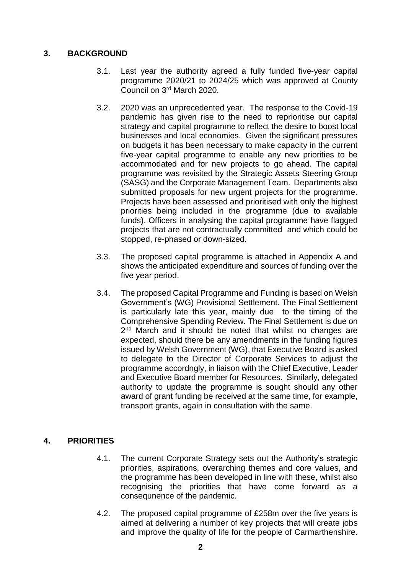# **3. BACKGROUND**

- 3.1. Last year the authority agreed a fully funded five-year capital programme 2020/21 to 2024/25 which was approved at County Council on 3 rd March 2020.
- 3.2. 2020 was an unprecedented year. The response to the Covid-19 pandemic has given rise to the need to reprioritise our capital strategy and capital programme to reflect the desire to boost local businesses and local economies. Given the significant pressures on budgets it has been necessary to make capacity in the current five-year capital programme to enable any new priorities to be accommodated and for new projects to go ahead. The capital programme was revisited by the Strategic Assets Steering Group (SASG) and the Corporate Management Team. Departments also submitted proposals for new urgent projects for the programme. Projects have been assessed and prioritised with only the highest priorities being included in the programme (due to available funds). Officers in analysing the capital programme have flagged projects that are not contractually committed and which could be stopped, re-phased or down-sized.
- 3.3. The proposed capital programme is attached in Appendix A and shows the anticipated expenditure and sources of funding over the five year period.
- 3.4. The proposed Capital Programme and Funding is based on Welsh Government's (WG) Provisional Settlement. The Final Settlement is particularly late this year, mainly due to the timing of the Comprehensive Spending Review. The Final Settlement is due on 2<sup>nd</sup> March and it should be noted that whilst no changes are expected, should there be any amendments in the funding figures issued by Welsh Government (WG), that Executive Board is asked to delegate to the Director of Corporate Services to adjust the programme accordngly, in liaison with the Chief Executive, Leader and Executive Board member for Resources. Similarly, delegated authority to update the programme is sought should any other award of grant funding be received at the same time, for example, transport grants, again in consultation with the same.

# **4. PRIORITIES**

- 4.1. The current Corporate Strategy sets out the Authority's strategic priorities, aspirations, overarching themes and core values, and the programme has been developed in line with these, whilst also recognising the priorities that have come forward as a consequnence of the pandemic.
- 4.2. The proposed capital programme of £258m over the five years is aimed at delivering a number of key projects that will create jobs and improve the quality of life for the people of Carmarthenshire.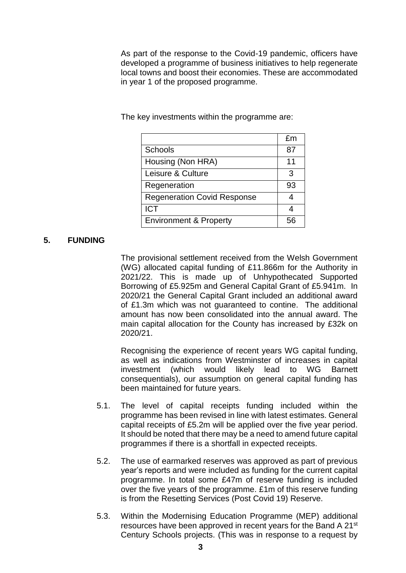As part of the response to the Covid-19 pandemic, officers have developed a programme of business initiatives to help regenerate local towns and boost their economies. These are accommodated in year 1 of the proposed programme.

The key investments within the programme are:

|                                    | fm |
|------------------------------------|----|
| Schools                            | 87 |
| Housing (Non HRA)                  | 11 |
| Leisure & Culture                  | 3  |
| Regeneration                       | 93 |
| <b>Regeneration Covid Response</b> |    |
| <b>ICT</b>                         |    |
| <b>Environment &amp; Property</b>  |    |

#### **5. FUNDING**

The provisional settlement received from the Welsh Government (WG) allocated capital funding of £11.866m for the Authority in 2021/22. This is made up of Unhypothecated Supported Borrowing of £5.925m and General Capital Grant of £5.941m. In 2020/21 the General Capital Grant included an additional award of £1.3m which was not guaranteed to contine. The additional amount has now been consolidated into the annual award. The main capital allocation for the County has increased by £32k on 2020/21.

Recognising the experience of recent years WG capital funding, as well as indications from Westminster of increases in capital investment (which would likely lead to WG Barnett consequentials), our assumption on general capital funding has been maintained for future years.

- 5.1. The level of capital receipts funding included within the programme has been revised in line with latest estimates. General capital receipts of £5.2m will be applied over the five year period. It should be noted that there may be a need to amend future capital programmes if there is a shortfall in expected receipts.
- 5.2. The use of earmarked reserves was approved as part of previous year's reports and were included as funding for the current capital programme. In total some £47m of reserve funding is included over the five years of the programme. £1m of this reserve funding is from the Resetting Services (Post Covid 19) Reserve.
- 5.3. Within the Modernising Education Programme (MEP) additional resources have been approved in recent years for the Band A 21st Century Schools projects. (This was in response to a request by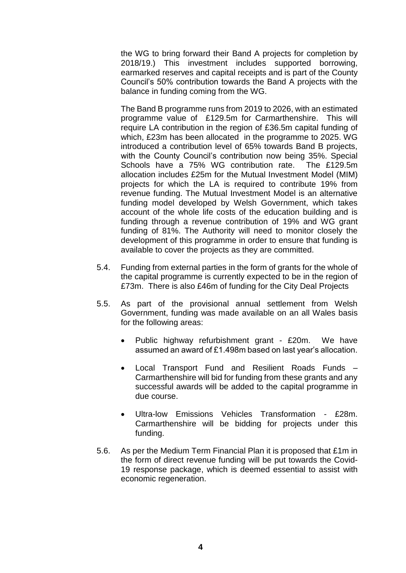the WG to bring forward their Band A projects for completion by 2018/19.) This investment includes supported borrowing, earmarked reserves and capital receipts and is part of the County Council's 50% contribution towards the Band A projects with the balance in funding coming from the WG.

The Band B programme runs from 2019 to 2026, with an estimated programme value of £129.5m for Carmarthenshire. This will require LA contribution in the region of £36.5m capital funding of which, £23m has been allocated in the programme to 2025. WG introduced a contribution level of 65% towards Band B projects, with the County Council's contribution now being 35%. Special Schools have a 75% WG contribution rate. The £129.5m allocation includes £25m for the Mutual Investment Model (MIM) projects for which the LA is required to contribute 19% from revenue funding. The Mutual Investment Model is an alternative funding model developed by Welsh Government, which takes account of the whole life costs of the education building and is funding through a revenue contribution of 19% and WG grant funding of 81%. The Authority will need to monitor closely the development of this programme in order to ensure that funding is available to cover the projects as they are committed.

- 5.4. Funding from external parties in the form of grants for the whole of the capital programme is currently expected to be in the region of £73m. There is also £46m of funding for the City Deal Projects
- 5.5. As part of the provisional annual settlement from Welsh Government, funding was made available on an all Wales basis for the following areas:
	- Public highway refurbishment grant £20m. We have assumed an award of £1.498m based on last year's allocation.
	- Local Transport Fund and Resilient Roads Funds Carmarthenshire will bid for funding from these grants and any successful awards will be added to the capital programme in due course.
	- Ultra-low Emissions Vehicles Transformation £28m. Carmarthenshire will be bidding for projects under this funding.
- 5.6. As per the Medium Term Financial Plan it is proposed that £1m in the form of direct revenue funding will be put towards the Covid-19 response package, which is deemed essential to assist with economic regeneration.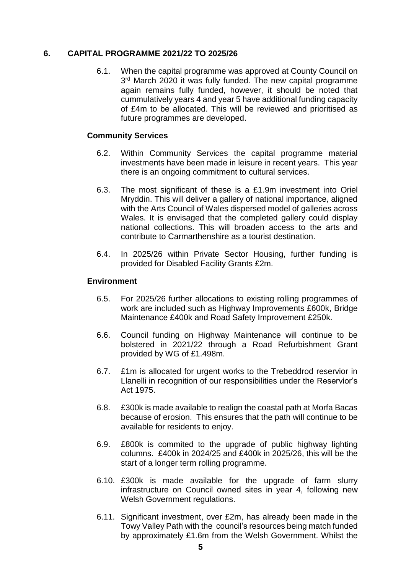#### **6. CAPITAL PROGRAMME 2021/22 TO 2025/26**

6.1. When the capital programme was approved at County Council on 3<sup>rd</sup> March 2020 it was fully funded. The new capital programme again remains fully funded, however, it should be noted that cummulatively years 4 and year 5 have additional funding capacity of £4m to be allocated. This will be reviewed and prioritised as future programmes are developed.

#### **Community Services**

- 6.2. Within Community Services the capital programme material investments have been made in leisure in recent years. This year there is an ongoing commitment to cultural services.
- 6.3. The most significant of these is a £1.9m investment into Oriel Mryddin. This will deliver a gallery of national importance, aligned with the Arts Council of Wales dispersed model of galleries across Wales. It is envisaged that the completed gallery could display national collections. This will broaden access to the arts and contribute to Carmarthenshire as a tourist destination.
- 6.4. In 2025/26 within Private Sector Housing, further funding is provided for Disabled Facility Grants £2m.

#### **Environment**

- 6.5. For 2025/26 further allocations to existing rolling programmes of work are included such as Highway Improvements £600k, Bridge Maintenance £400k and Road Safety Improvement £250k.
- 6.6. Council funding on Highway Maintenance will continue to be bolstered in 2021/22 through a Road Refurbishment Grant provided by WG of £1.498m.
- 6.7. £1m is allocated for urgent works to the Trebeddrod reservior in Llanelli in recognition of our responsibilities under the Reservior's Act 1975.
- 6.8. £300k is made available to realign the coastal path at Morfa Bacas because of erosion. This ensures that the path will continue to be available for residents to enjoy.
- 6.9. £800k is commited to the upgrade of public highway lighting columns. £400k in 2024/25 and £400k in 2025/26, this will be the start of a longer term rolling programme.
- 6.10. £300k is made available for the upgrade of farm slurry infrastructure on Council owned sites in year 4, following new Welsh Government regulations.
- 6.11. Significant investment, over £2m, has already been made in the Towy Valley Path with the council's resources being match funded by approximately £1.6m from the Welsh Government. Whilst the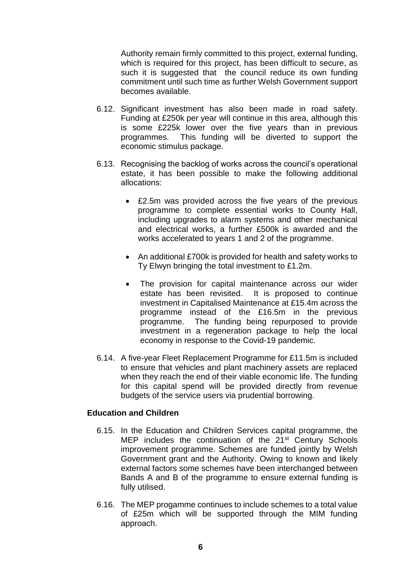Authority remain firmly committed to this project, external funding, which is required for this project, has been difficult to secure, as such it is suggested that the council reduce its own funding commitment until such time as further Welsh Government support becomes available.

- 6.12. Significant investment has also been made in road safety. Funding at £250k per year will continue in this area, although this is some £225k lower over the five years than in previous programmes. This funding will be diverted to support the economic stimulus package.
- 6.13. Recognising the backlog of works across the council's operational estate, it has been possible to make the following additional allocations:
	- £2.5m was provided across the five years of the previous programme to complete essential works to County Hall, including upgrades to alarm systems and other mechanical and electrical works, a further £500k is awarded and the works accelerated to years 1 and 2 of the programme.
	- An additional £700k is provided for health and safety works to Ty Elwyn bringing the total investment to £1.2m.
	- The provision for capital maintenance across our wider estate has been revisited. It is proposed to continue investment in Capitalised Maintenance at £15.4m across the programme instead of the £16.5m in the previous programme. The funding being repurposed to provide investment in a regeneration package to help the local economy in response to the Covid-19 pandemic.
- 6.14. A five-year Fleet Replacement Programme for £11.5m is included to ensure that vehicles and plant machinery assets are replaced when they reach the end of their viable economic life. The funding for this capital spend will be provided directly from revenue budgets of the service users via prudential borrowing.

#### **Education and Children**

- 6.15. In the Education and Children Services capital programme, the MEP includes the continuation of the 21<sup>st</sup> Century Schools improvement programme. Schemes are funded jointly by Welsh Government grant and the Authority. Owing to known and likely external factors some schemes have been interchanged between Bands A and B of the programme to ensure external funding is fully utilised.
- 6.16. The MEP progamme continues to include schemes to a total value of £25m which will be supported through the MIM funding approach.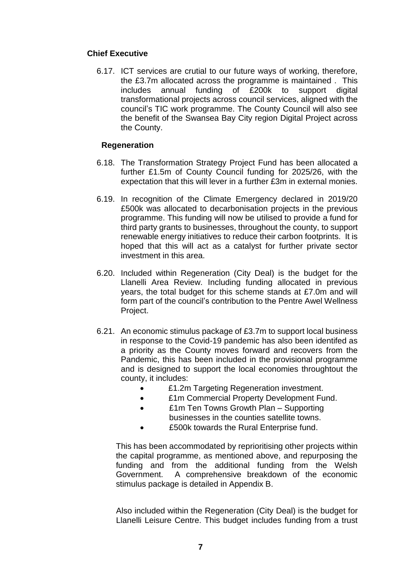#### **Chief Executive**

6.17. ICT services are crutial to our future ways of working, therefore, the £3.7m allocated across the programme is maintained . This includes annual funding of £200k to support digital transformational projects across council services, aligned with the council's TIC work programme. The County Council will also see the benefit of the Swansea Bay City region Digital Project across the County.

#### **Regeneration**

- 6.18. The Transformation Strategy Project Fund has been allocated a further £1.5m of County Council funding for 2025/26, with the expectation that this will lever in a further £3m in external monies.
- 6.19. In recognition of the Climate Emergency declared in 2019/20 £500k was allocated to decarbonisation projects in the previous programme. This funding will now be utilised to provide a fund for third party grants to businesses, throughout the county, to support renewable energy initiatives to reduce their carbon footprints. It is hoped that this will act as a catalyst for further private sector investment in this area.
- 6.20. Included within Regeneration (City Deal) is the budget for the Llanelli Area Review. Including funding allocated in previous years, the total budget for this scheme stands at £7.0m and will form part of the council's contribution to the Pentre Awel Wellness Project.
- 6.21. An economic stimulus package of £3.7m to support local business in response to the Covid-19 pandemic has also been identifed as a priority as the County moves forward and recovers from the Pandemic, this has been included in the provisional programme and is designed to support the local economies throughtout the county, it includes:
	- £1.2m Targeting Regeneration investment.
	- £1m Commercial Property Development Fund.
	- £1m Ten Towns Growth Plan Supporting businesses in the counties satellite towns.
	- £500k towards the Rural Enterprise fund.

This has been accommodated by reprioritising other projects within the capital programme, as mentioned above, and repurposing the funding and from the additional funding from the Welsh Government. A comprehensive breakdown of the economic stimulus package is detailed in Appendix B.

Also included within the Regeneration (City Deal) is the budget for Llanelli Leisure Centre. This budget includes funding from a trust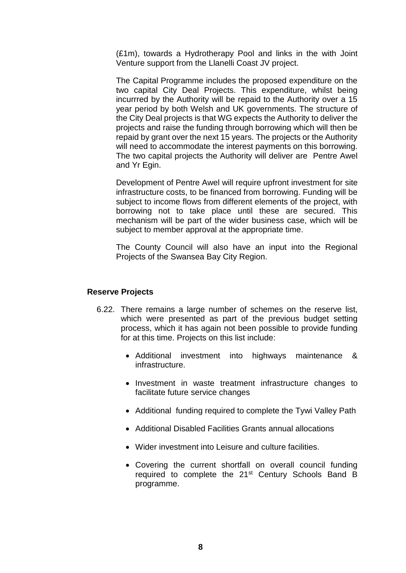(£1m), towards a Hydrotherapy Pool and links in the with Joint Venture support from the Llanelli Coast JV project.

The Capital Programme includes the proposed expenditure on the two capital City Deal Projects. This expenditure, whilst being incurrred by the Authority will be repaid to the Authority over a 15 year period by both Welsh and UK governments. The structure of the City Deal projects is that WG expects the Authority to deliver the projects and raise the funding through borrowing which will then be repaid by grant over the next 15 years. The projects or the Authority will need to accommodate the interest payments on this borrowing. The two capital projects the Authority will deliver are Pentre Awel and Yr Egin.

Development of Pentre Awel will require upfront investment for site infrastructure costs, to be financed from borrowing. Funding will be subject to income flows from different elements of the project, with borrowing not to take place until these are secured. This mechanism will be part of the wider business case, which will be subject to member approval at the appropriate time.

The County Council will also have an input into the Regional Projects of the Swansea Bay City Region.

#### **Reserve Projects**

- 6.22. There remains a large number of schemes on the reserve list, which were presented as part of the previous budget setting process, which it has again not been possible to provide funding for at this time. Projects on this list include:
	- Additional investment into highways maintenance & infrastructure.
	- Investment in waste treatment infrastructure changes to facilitate future service changes
	- Additional funding required to complete the Tywi Valley Path
	- Additional Disabled Facilities Grants annual allocations
	- Wider investment into Leisure and culture facilities.
	- Covering the current shortfall on overall council funding required to complete the 21<sup>st</sup> Century Schools Band B programme.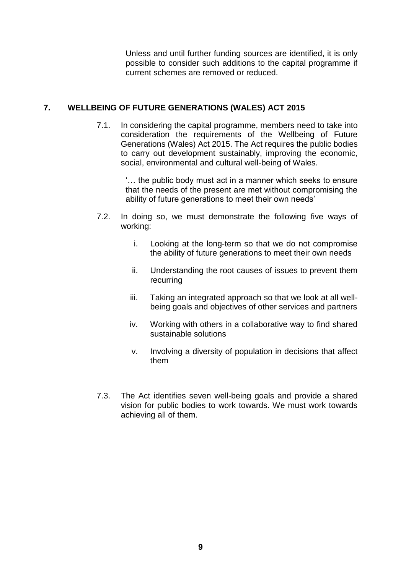Unless and until further funding sources are identified, it is only possible to consider such additions to the capital programme if current schemes are removed or reduced.

# **7. WELLBEING OF FUTURE GENERATIONS (WALES) ACT 2015**

7.1. In considering the capital programme, members need to take into consideration the requirements of the Wellbeing of Future Generations (Wales) Act 2015. The Act requires the public bodies to carry out development sustainably, improving the economic, social, environmental and cultural well-being of Wales.

> '… the public body must act in a manner which seeks to ensure that the needs of the present are met without compromising the ability of future generations to meet their own needs'

- 7.2. In doing so, we must demonstrate the following five ways of working:
	- i. Looking at the long-term so that we do not compromise the ability of future generations to meet their own needs
	- ii. Understanding the root causes of issues to prevent them recurring
	- iii. Taking an integrated approach so that we look at all wellbeing goals and objectives of other services and partners
	- iv. Working with others in a collaborative way to find shared sustainable solutions
	- v. Involving a diversity of population in decisions that affect them
- 7.3. The Act identifies seven well-being goals and provide a shared vision for public bodies to work towards. We must work towards achieving all of them.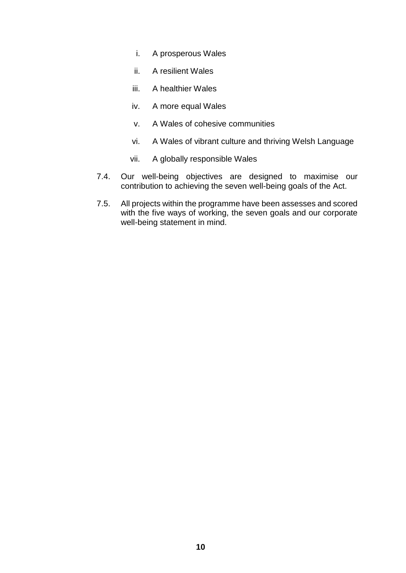- i. A prosperous Wales
- ii. A resilient Wales
- iii. A healthier Wales
- iv. A more equal Wales
- v. A Wales of cohesive communities
- vi. A Wales of vibrant culture and thriving Welsh Language
- vii. A globally responsible Wales
- 7.4. Our well-being objectives are designed to maximise our contribution to achieving the seven well-being goals of the Act.
- 7.5. All projects within the programme have been assesses and scored with the five ways of working, the seven goals and our corporate well-being statement in mind.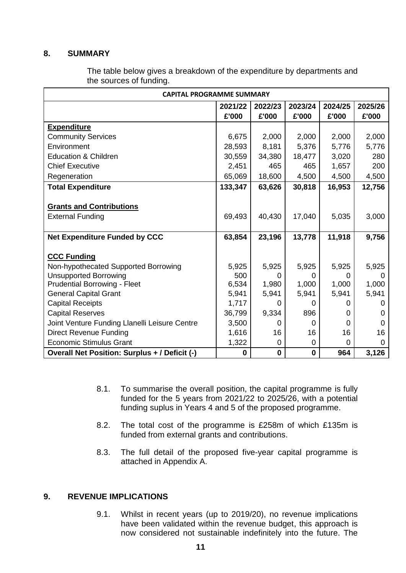## **8. SUMMARY**

| <b>CAPITAL PROGRAMME SUMMARY</b>              |             |             |          |         |          |  |  |
|-----------------------------------------------|-------------|-------------|----------|---------|----------|--|--|
|                                               | 2021/22     | 2022/23     | 2023/24  | 2024/25 | 2025/26  |  |  |
|                                               | £'000       | £'000       | £'000    | £'000   | £'000    |  |  |
| <b>Expenditure</b>                            |             |             |          |         |          |  |  |
| <b>Community Services</b>                     | 6,675       | 2,000       | 2,000    | 2,000   | 2,000    |  |  |
| Environment                                   | 28,593      | 8,181       | 5,376    | 5,776   | 5,776    |  |  |
| <b>Education &amp; Children</b>               | 30,559      | 34,380      | 18,477   | 3,020   | 280      |  |  |
| <b>Chief Executive</b>                        | 2,451       | 465         | 465      | 1,657   | 200      |  |  |
| Regeneration                                  | 65,069      | 18,600      | 4,500    | 4,500   | 4,500    |  |  |
| <b>Total Expenditure</b>                      | 133,347     | 63,626      | 30,818   | 16,953  | 12,756   |  |  |
|                                               |             |             |          |         |          |  |  |
| <b>Grants and Contributions</b>               |             |             |          |         |          |  |  |
| <b>External Funding</b>                       | 69,493      | 40,430      | 17,040   | 5,035   | 3,000    |  |  |
|                                               |             |             |          |         |          |  |  |
| <b>Net Expenditure Funded by CCC</b>          | 63,854      | 23,196      | 13,778   | 11,918  | 9,756    |  |  |
|                                               |             |             |          |         |          |  |  |
| <b>CCC Funding</b>                            |             |             |          |         |          |  |  |
| Non-hypothecated Supported Borrowing          | 5,925       | 5,925       | 5,925    | 5,925   | 5,925    |  |  |
| <b>Unsupported Borrowing</b>                  | 500         | 0           | 0        | 0       | 0        |  |  |
| <b>Prudential Borrowing - Fleet</b>           | 6,534       | 1,980       | 1,000    | 1,000   | 1,000    |  |  |
| <b>General Capital Grant</b>                  | 5,941       | 5,941       | 5,941    | 5,941   | 5,941    |  |  |
| <b>Capital Receipts</b>                       | 1,717       | 0           | 0        | 0       | 0        |  |  |
| <b>Capital Reserves</b>                       | 36,799      | 9,334       | 896      | 0       | 0        |  |  |
| Joint Venture Funding Llanelli Leisure Centre | 3,500       | O           | 0        | 0       | 0        |  |  |
| <b>Direct Revenue Funding</b>                 | 1,616       | 16          | 16       | 16      | 16       |  |  |
| <b>Economic Stimulus Grant</b>                | 1,322       | 0           | 0        | 0       | $\Omega$ |  |  |
| Overall Net Position: Surplus + / Deficit (-) | $\mathbf 0$ | $\mathbf 0$ | $\bf{0}$ | 964     | 3,126    |  |  |

The table below gives a breakdown of the expenditure by departments and the sources of funding.

- 8.1. To summarise the overall position, the capital programme is fully funded for the 5 years from 2021/22 to 2025/26, with a potential funding suplus in Years 4 and 5 of the proposed programme.
- 8.2. The total cost of the programme is £258m of which £135m is funded from external grants and contributions.
- 8.3. The full detail of the proposed five-year capital programme is attached in Appendix A.

## **9. REVENUE IMPLICATIONS**

9.1. Whilst in recent years (up to 2019/20), no revenue implications have been validated within the revenue budget, this approach is now considered not sustainable indefinitely into the future. The